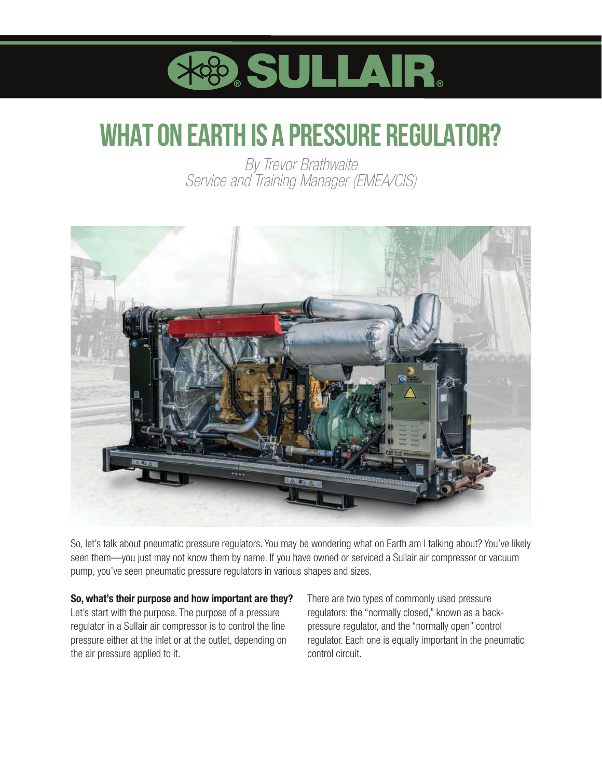

# **WHAT ON EARTH IS A PRESSURE REGULATOR?**

*By Trevor Brathwaite Service and Training Manager (EMEA/CIS)*



So, let's talk about pneumatic pressure regulators. You may be wondering what on Earth am I talking about? You've likely seen them—you just may not know them by name. If you have owned or serviced a Sullair air compressor or vacuum pump, you've seen pneumatic pressure regulators in various shapes and sizes.

#### So, what's their purpose and how important are they?

Let's start with the purpose. The purpose of a pressure regulator in a Sullair air compressor is to control the line pressure either at the inlet or at the outlet, depending on the air pressure applied to it.

There are two types of commonly used pressure regulators: the "normally closed," known as a backpressure regulator, and the "normally open" control regulator. Each one is equally important in the pneumatic control circuit.